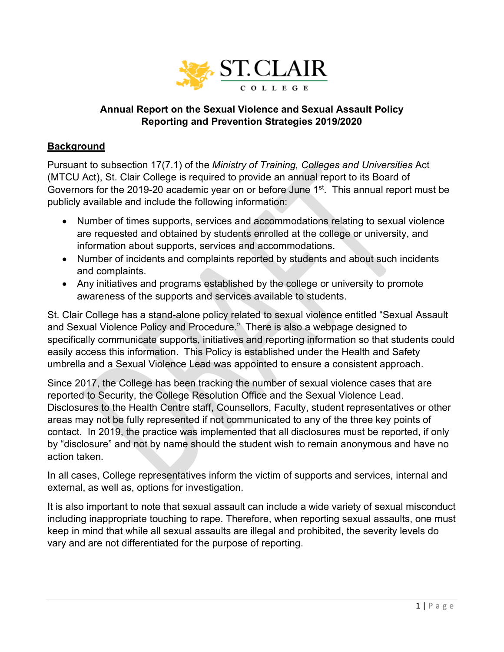

## **Annual Report on the Sexual Violence and Sexual Assault Policy Reporting and Prevention Strategies 2019/2020**

#### **Background**

Pursuant to subsection 17(7.1) of the *Ministry of Training, Colleges and Universities* Act (MTCU Act), St. Clair College is required to provide an annual report to its Board of Governors for the 2019-20 academic year on or before June 1<sup>st</sup>. This annual report must be publicly available and include the following information:

- Number of times supports, services and accommodations relating to sexual violence are requested and obtained by students enrolled at the college or university, and information about supports, services and accommodations.
- Number of incidents and complaints reported by students and about such incidents and complaints.
- Any initiatives and programs established by the college or university to promote awareness of the supports and services available to students.

St. Clair College has a stand-alone policy related to sexual violence entitled "Sexual Assault and Sexual Violence Policy and Procedure." There is also a webpage designed to specifically communicate supports, initiatives and reporting information so that students could easily access this information. This Policy is established under the Health and Safety umbrella and a Sexual Violence Lead was appointed to ensure a consistent approach.

Since 2017, the College has been tracking the number of sexual violence cases that are reported to Security, the College Resolution Office and the Sexual Violence Lead. Disclosures to the Health Centre staff, Counsellors, Faculty, student representatives or other areas may not be fully represented if not communicated to any of the three key points of contact. In 2019, the practice was implemented that all disclosures must be reported, if only by "disclosure" and not by name should the student wish to remain anonymous and have no action taken.

In all cases, College representatives inform the victim of supports and services, internal and external, as well as, options for investigation.

It is also important to note that sexual assault can include a wide variety of sexual misconduct including inappropriate touching to rape. Therefore, when reporting sexual assaults, one must keep in mind that while all sexual assaults are illegal and prohibited, the severity levels do vary and are not differentiated for the purpose of reporting.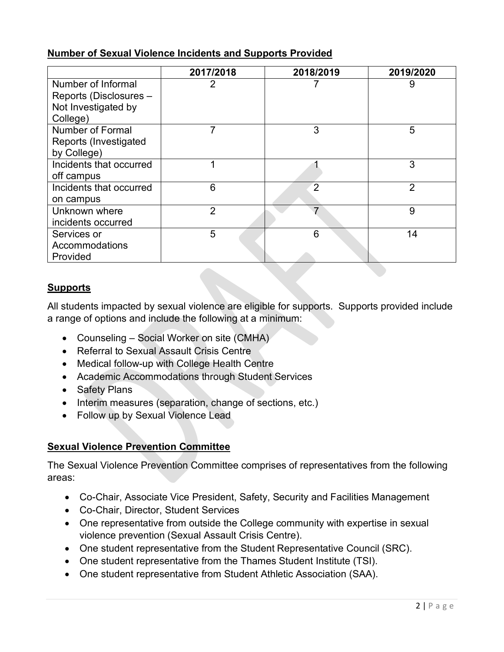# **Number of Sexual Violence Incidents and Supports Provided**

|                              | 2017/2018      | 2018/2019      | 2019/2020      |
|------------------------------|----------------|----------------|----------------|
| Number of Informal           | 2              |                | 9              |
| Reports (Disclosures -       |                |                |                |
| Not Investigated by          |                |                |                |
| College)                     |                |                |                |
| Number of Formal             | 7              | 3              | 5              |
| <b>Reports (Investigated</b> |                |                |                |
| by College)                  |                |                |                |
| Incidents that occurred      |                |                | 3              |
| off campus                   |                |                |                |
| Incidents that occurred      | 6              | $\overline{2}$ | $\overline{2}$ |
| on campus                    |                |                |                |
| Unknown where                | $\overline{2}$ | 7              | 9              |
| incidents occurred           |                |                |                |
| Services or                  | 5              | 6              | 14             |
| Accommodations               |                |                |                |
| Provided                     |                |                |                |

# **Supports**

All students impacted by sexual violence are eligible for supports. Supports provided include a range of options and include the following at a minimum:

- Counseling Social Worker on site (CMHA)
- Referral to Sexual Assault Crisis Centre
- Medical follow-up with College Health Centre
- Academic Accommodations through Student Services
- Safety Plans
- Interim measures (separation, change of sections, etc.)
- Follow up by Sexual Violence Lead

## **Sexual Violence Prevention Committee**

The Sexual Violence Prevention Committee comprises of representatives from the following areas:

- Co-Chair, Associate Vice President, Safety, Security and Facilities Management
- Co-Chair, Director, Student Services
- One representative from outside the College community with expertise in sexual violence prevention (Sexual Assault Crisis Centre).
- One student representative from the Student Representative Council (SRC).
- One student representative from the Thames Student Institute (TSI).
- One student representative from Student Athletic Association (SAA).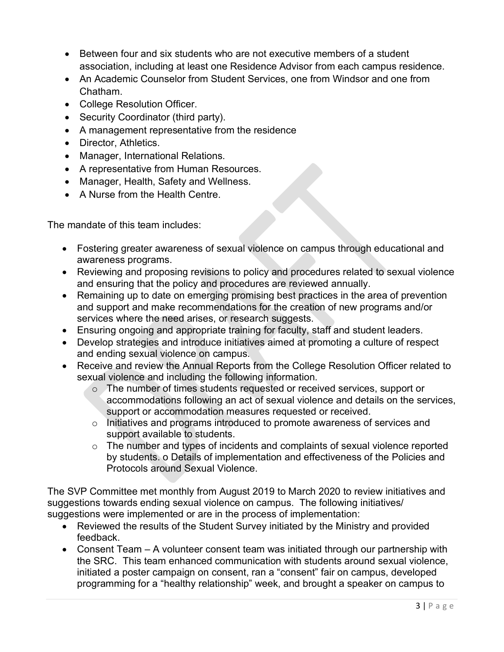- Between four and six students who are not executive members of a student association, including at least one Residence Advisor from each campus residence.
- An Academic Counselor from Student Services, one from Windsor and one from Chatham.
- College Resolution Officer.
- Security Coordinator (third party).
- A management representative from the residence
- Director, Athletics.
- Manager, International Relations.
- A representative from Human Resources.
- Manager, Health, Safety and Wellness.
- A Nurse from the Health Centre.

The mandate of this team includes:

- Fostering greater awareness of sexual violence on campus through educational and awareness programs.
- Reviewing and proposing revisions to policy and procedures related to sexual violence and ensuring that the policy and procedures are reviewed annually.
- Remaining up to date on emerging promising best practices in the area of prevention and support and make recommendations for the creation of new programs and/or services where the need arises, or research suggests.
- Ensuring ongoing and appropriate training for faculty, staff and student leaders.
- Develop strategies and introduce initiatives aimed at promoting a culture of respect and ending sexual violence on campus.
- Receive and review the Annual Reports from the College Resolution Officer related to sexual violence and including the following information.
	- o The number of times students requested or received services, support or accommodations following an act of sexual violence and details on the services, support or accommodation measures requested or received.
	- o Initiatives and programs introduced to promote awareness of services and support available to students.
	- $\circ$  The number and types of incidents and complaints of sexual violence reported by students. o Details of implementation and effectiveness of the Policies and Protocols around Sexual Violence.

The SVP Committee met monthly from August 2019 to March 2020 to review initiatives and suggestions towards ending sexual violence on campus. The following initiatives/ suggestions were implemented or are in the process of implementation:

- Reviewed the results of the Student Survey initiated by the Ministry and provided feedback.
- Consent Team A volunteer consent team was initiated through our partnership with the SRC. This team enhanced communication with students around sexual violence, initiated a poster campaign on consent, ran a "consent" fair on campus, developed programming for a "healthy relationship" week, and brought a speaker on campus to